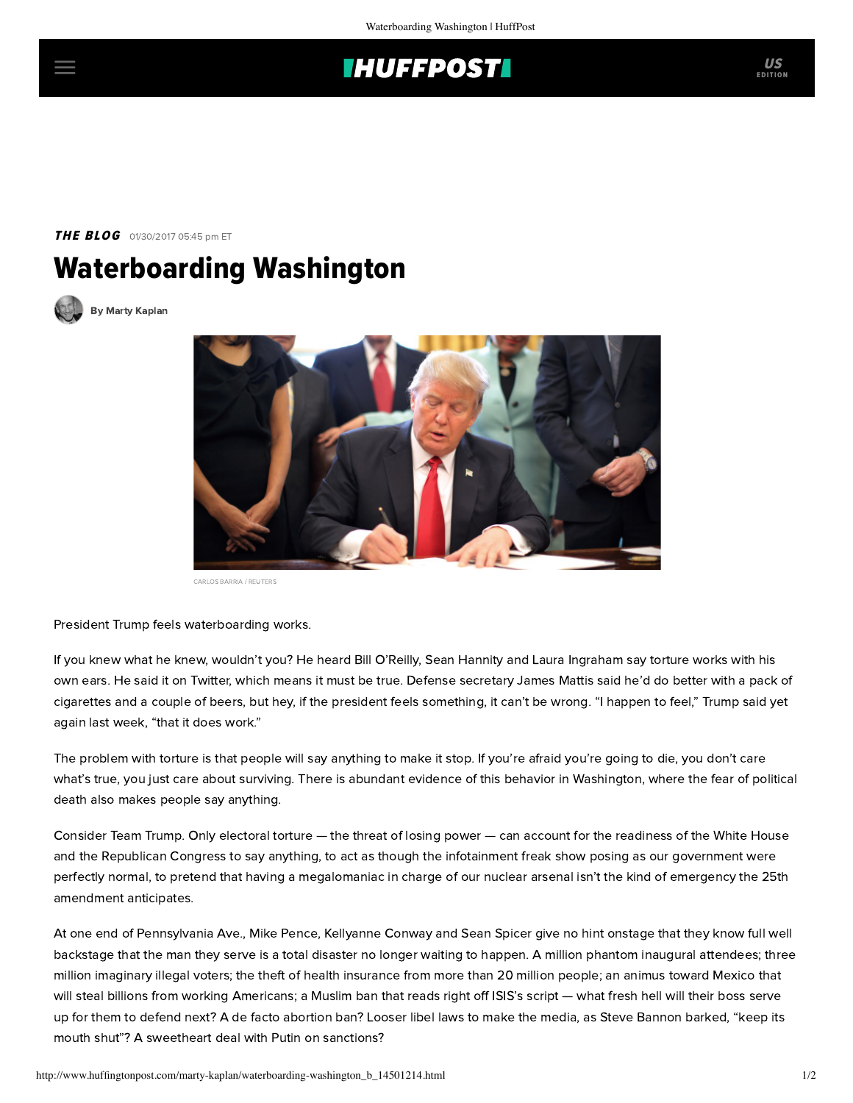# **THUFFPOST**

**THE BLOG** 01/30/2017 05:45 pm ET

# Waterboarding Washington



[By Marty Kaplan](http://www.huffingtonpost.com/author/marty-kaplan)



CARLOS BARRIA / REUTERS

President Trump feels waterboarding works.

If you knew what he knew, wouldn't you? He heard Bill O'Reilly, Sean Hannity and Laura Ingraham say torture works with his own ears. He said it on Twitter, which means it must be true. Defense secretary James Mattis said he'd do better with a pack of cigarettes and a couple of beers, but hey, if the president feels something, it can't be wrong. "I happen to feel," Trump [said](http://www.factcheck.org/2017/01/trump-on-torture-again/) yet again last week, "that it does work."

The problem with torture is that people will say anything to make it stop. If you're afraid you're going to die, you don't care what's true, you just care about surviving. There is abundant evidence of this behavior in Washington, where the fear of political death also makes people say anything.

Consider Team Trump. Only electoral torture — the threat of losing power — can account for the readiness of the White House and the Republican Congress to say anything, to act as though the infotainment freak show posing as our government were perfectly normal, to pretend that having a megalomaniac in charge of our nuclear arsenal isn't the kind of emergency the 25th amendment anticipates.

At one end of Pennsylvania Ave., Mike Pence, Kellyanne Conway and Sean Spicer give no hint onstage that they know full well backstage that the man they serve is a total disaster no longer waiting to happen. A million phantom inaugural attendees; three million imaginary illegal voters; the theft of health insurance from more than 20 million people; an animus toward Mexico that will steal billions from working Americans; a Muslim ban that reads right off ISIS's script — what fresh hell will their boss serve up for them to defend next? A de facto abortion ban? Looser libel laws to make the media, as Steve Bannon barked, "keep its mouth shut"? A sweetheart deal with Putin on sanctions?